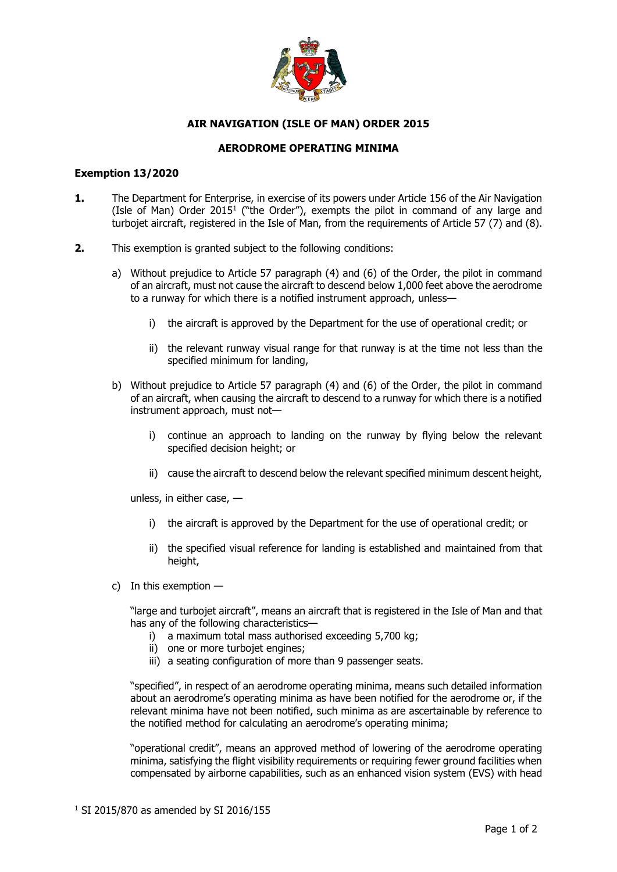

## **AIR NAVIGATION (ISLE OF MAN) ORDER 2015**

## **AERODROME OPERATING MINIMA**

## **Exemption 13/2020**

- **1.** The Department for Enterprise, in exercise of its powers under Article 156 of the Air Navigation (Isle of Man) Order  $2015<sup>1</sup>$  ("the Order"), exempts the pilot in command of any large and turbojet aircraft, registered in the Isle of Man, from the requirements of Article 57 (7) and (8).
- **2.** This exemption is granted subject to the following conditions:
	- a) Without prejudice to Article 57 paragraph (4) and (6) of the Order, the pilot in command of an aircraft, must not cause the aircraft to descend below 1,000 feet above the aerodrome to a runway for which there is a notified instrument approach, unless
		- i) the aircraft is approved by the Department for the use of operational credit; or
		- ii) the relevant runway visual range for that runway is at the time not less than the specified minimum for landing,
	- b) Without prejudice to Article 57 paragraph (4) and (6) of the Order, the pilot in command of an aircraft, when causing the aircraft to descend to a runway for which there is a notified instrument approach, must not
		- i) continue an approach to landing on the runway by flying below the relevant specified decision height; or
		- ii) cause the aircraft to descend below the relevant specified minimum descent height,

unless, in either case, —

- i) the aircraft is approved by the Department for the use of operational credit; or
- ii) the specified visual reference for landing is established and maintained from that height,
- c) In this exemption —

"large and turbojet aircraft", means an aircraft that is registered in the Isle of Man and that has any of the following characteristics—

- i) a maximum total mass authorised exceeding 5,700 kg;
- ii) one or more turbojet engines;
- iii) a seating configuration of more than 9 passenger seats.

"specified", in respect of an aerodrome operating minima, means such detailed information about an aerodrome's operating minima as have been notified for the aerodrome or, if the relevant minima have not been notified, such minima as are ascertainable by reference to the notified method for calculating an aerodrome's operating minima;

"operational credit", means an approved method of lowering of the aerodrome operating minima, satisfying the flight visibility requirements or requiring fewer ground facilities when compensated by airborne capabilities, such as an enhanced vision system (EVS) with head